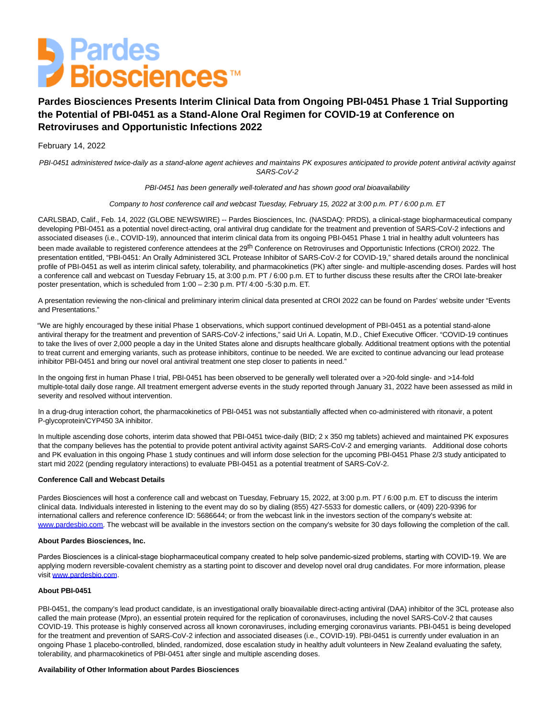

# **Pardes Biosciences Presents Interim Clinical Data from Ongoing PBI-0451 Phase 1 Trial Supporting the Potential of PBI-0451 as a Stand-Alone Oral Regimen for COVID-19 at Conference on Retroviruses and Opportunistic Infections 2022**

## February 14, 2022

PBI-0451 administered twice-daily as a stand-alone agent achieves and maintains PK exposures anticipated to provide potent antiviral activity against SARS-CoV-2

PBI-0451 has been generally well-tolerated and has shown good oral bioavailability

Company to host conference call and webcast Tuesday, February 15, 2022 at 3:00 p.m. PT / 6:00 p.m. ET

CARLSBAD, Calif., Feb. 14, 2022 (GLOBE NEWSWIRE) -- Pardes Biosciences, Inc. (NASDAQ: PRDS), a clinical-stage biopharmaceutical company developing PBI-0451 as a potential novel direct-acting, oral antiviral drug candidate for the treatment and prevention of SARS-CoV-2 infections and associated diseases (i.e., COVID-19), announced that interim clinical data from its ongoing PBI-0451 Phase 1 trial in healthy adult volunteers has been made available to registered conference attendees at the 29<sup>th</sup> Conference on Retroviruses and Opportunistic Infections (CROI) 2022. The presentation entitled, "PBI-0451: An Orally Administered 3CL Protease Inhibitor of SARS-CoV-2 for COVID-19," shared details around the nonclinical profile of PBI-0451 as well as interim clinical safety, tolerability, and pharmacokinetics (PK) after single- and multiple-ascending doses. Pardes will host a conference call and webcast on Tuesday February 15, at 3:00 p.m. PT / 6:00 p.m. ET to further discuss these results after the CROI late-breaker poster presentation, which is scheduled from 1:00 – 2:30 p.m. PT/ 4:00 -5:30 p.m. ET.

A presentation reviewing the non-clinical and preliminary interim clinical data presented at CROI 2022 can be found on Pardes' website under "Events and Presentations."

"We are highly encouraged by these initial Phase 1 observations, which support continued development of PBI-0451 as a potential stand-alone antiviral therapy for the treatment and prevention of SARS-CoV-2 infections," said Uri A. Lopatin, M.D., Chief Executive Officer. "COVID-19 continues to take the lives of over 2,000 people a day in the United States alone and disrupts healthcare globally. Additional treatment options with the potential to treat current and emerging variants, such as protease inhibitors, continue to be needed. We are excited to continue advancing our lead protease inhibitor PBI-0451 and bring our novel oral antiviral treatment one step closer to patients in need."

In the ongoing first in human Phase I trial, PBI-0451 has been observed to be generally well tolerated over a >20-fold single- and >14-fold multiple-total daily dose range. All treatment emergent adverse events in the study reported through January 31, 2022 have been assessed as mild in severity and resolved without intervention.

In a drug-drug interaction cohort, the pharmacokinetics of PBI-0451 was not substantially affected when co-administered with ritonavir, a potent P-glycoprotein/CYP450 3A inhibitor.

In multiple ascending dose cohorts, interim data showed that PBI-0451 twice-daily (BID; 2 x 350 mg tablets) achieved and maintained PK exposures that the company believes has the potential to provide potent antiviral activity against SARS-CoV-2 and emerging variants. Additional dose cohorts and PK evaluation in this ongoing Phase 1 study continues and will inform dose selection for the upcoming PBI-0451 Phase 2/3 study anticipated to start mid 2022 (pending regulatory interactions) to evaluate PBI-0451 as a potential treatment of SARS-CoV-2.

## **Conference Call and Webcast Details**

Pardes Biosciences will host a conference call and webcast on Tuesday, February 15, 2022, at 3:00 p.m. PT / 6:00 p.m. ET to discuss the interim clinical data. Individuals interested in listening to the event may do so by dialing (855) 427-5533 for domestic callers, or (409) 220-9396 for international callers and reference conference ID: 5686644; or from the webcast link in the investors section of the company's website at: [www.pardesbio.com.](https://www.globenewswire.com/Tracker?data=nfbhMXWm7zA0gTcq6VGSuHWSQiYG-so2H5OMhZxiYYpYiJ8JomaY4DC2onCpB3dPNC-Y9IWx3ggOTxoYFOwleg==) The webcast will be available in the investors section on the company's website for 30 days following the completion of the call.

#### **About Pardes Biosciences, Inc.**

Pardes Biosciences is a clinical-stage biopharmaceutical company created to help solve pandemic-sized problems, starting with COVID-19. We are applying modern reversible-covalent chemistry as a starting point to discover and develop novel oral drug candidates. For more information, please visit [www.pardesbio.com.](https://www.globenewswire.com/Tracker?data=nfbhMXWm7zA0gTcq6VGSuFW2Lmy3O_g7PQoqxfqBQ57bIh8J0_QMLkdnModDN4eRo2_852Ci57CKyKnv1hhYaQ==)

#### **About PBI-0451**

PBI-0451, the company's lead product candidate, is an investigational orally bioavailable direct-acting antiviral (DAA) inhibitor of the 3CL protease also called the main protease (Mpro), an essential protein required for the replication of coronaviruses, including the novel SARS-CoV-2 that causes COVID-19. This protease is highly conserved across all known coronaviruses, including emerging coronavirus variants. PBI-0451 is being developed for the treatment and prevention of SARS-CoV-2 infection and associated diseases (i.e., COVID-19). PBI-0451 is currently under evaluation in an ongoing Phase 1 placebo-controlled, blinded, randomized, dose escalation study in healthy adult volunteers in New Zealand evaluating the safety, tolerability, and pharmacokinetics of PBI-0451 after single and multiple ascending doses.

## **Availability of Other Information about Pardes Biosciences**